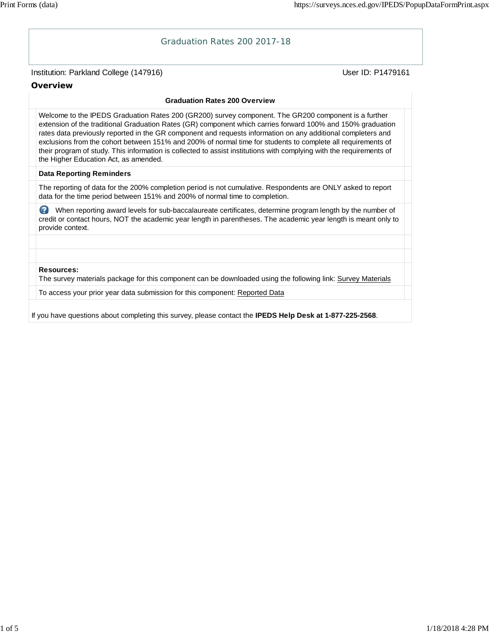# Institution: Parkland College (147916) November 2012 12: Physics User ID: P1479161 Graduation Rates 200 2017-18 **Overview Graduation Rates 200 Overview** Welcome to the IPEDS Graduation Rates 200 (GR200) survey component. The GR200 component is a further extension of the traditional Graduation Rates (GR) component which carries forward 100% and 150% graduation rates data previously reported in the GR component and requests information on any additional completers and exclusions from the cohort between 151% and 200% of normal time for students to complete all requirements of their program of study. This information is collected to assist institutions with complying with the requirements of the Higher Education Act, as amended. **Data Reporting Reminders** The reporting of data for the 200% completion period is not cumulative. Respondents are ONLY asked to report data for the time period between 151% and 200% of normal time to completion. When reporting award levels for sub-baccalaureate certificates, determine program length by the number of credit or contact hours, NOT the academic year length in parentheses. The academic year length is meant only to provide context. **Resources:** The survey materials package for this component can be downloaded using the following link: Survey Materials To access your prior year data submission for this component: Reported Data If you have questions about completing this survey, please contact the **IPEDS Help Desk at 1-877-225-2568**.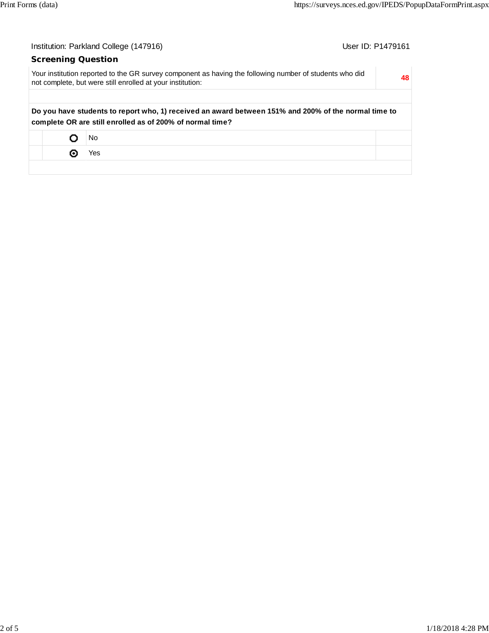| Institution: Parkland College (147916)<br>User ID: P1479161 |                                                                                                                                                                       |  |    |  |  |
|-------------------------------------------------------------|-----------------------------------------------------------------------------------------------------------------------------------------------------------------------|--|----|--|--|
| <b>Screening Question</b>                                   |                                                                                                                                                                       |  |    |  |  |
|                                                             | Your institution reported to the GR survey component as having the following number of students who did<br>not complete, but were still enrolled at your institution: |  | 48 |  |  |
|                                                             | Do you have students to report who, 1) received an award between 151% and 200% of the normal time to<br>complete OR are still enrolled as of 200% of normal time?     |  |    |  |  |
|                                                             | No.                                                                                                                                                                   |  |    |  |  |
| ⊙                                                           | Yes                                                                                                                                                                   |  |    |  |  |
|                                                             |                                                                                                                                                                       |  |    |  |  |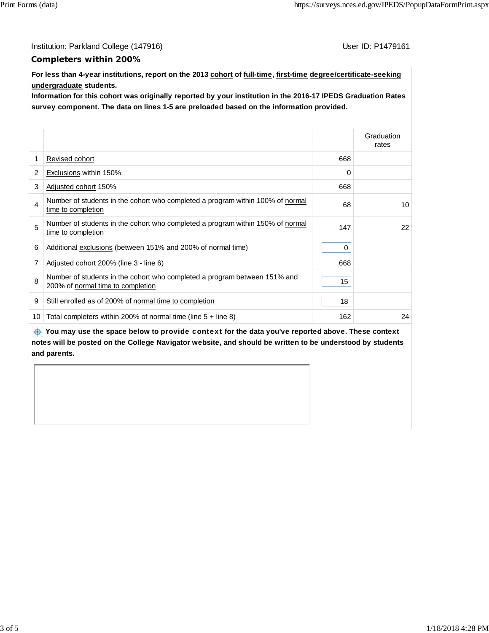Institution: Parkland College (147916) Contract College (147916)

### **Completers within 200%**

**For less than 4-year institutions, report on the 2013 cohort of full-time, first-time degree/certificate-seeking undergraduate students.**

**Information for this cohort was originally reported by your institution in the 2016-17 IPEDS Graduation Rates survey component. The data on lines 1-5 are preloaded based on the information provided.**

|    |                                                                                                                |                  | Graduation<br>rates |
|----|----------------------------------------------------------------------------------------------------------------|------------------|---------------------|
| 1  | Revised cohort                                                                                                 | 668              |                     |
| 2  | Exclusions within 150%                                                                                         | $\Omega$         |                     |
| 3  | Adjusted cohort 150%                                                                                           | 668              |                     |
| 4  | Number of students in the cohort who completed a program within 100% of normal<br>time to completion           | 68               | 10                  |
| 5  | Number of students in the cohort who completed a program within 150% of normal<br>time to completion           | 147              | 22                  |
| 6  | Additional exclusions (between 151% and 200% of normal time)                                                   | 0                |                     |
| 7  | Adjusted cohort 200% (line 3 - line 6)                                                                         | 668              |                     |
| 8  | Number of students in the cohort who completed a program between 151% and<br>200% of normal time to completion | 15 <sub>15</sub> |                     |
| 9  | Still enrolled as of 200% of normal time to completion                                                         | 18               |                     |
| 10 | Total completers within 200% of normal time (line $5 +$ line 8)                                                | 162              | 24                  |

 **You may use the space below to** provide context **for the data you've reported above. These context notes will be posted on the College Navigator website, and should be written to be understood by students and parents.**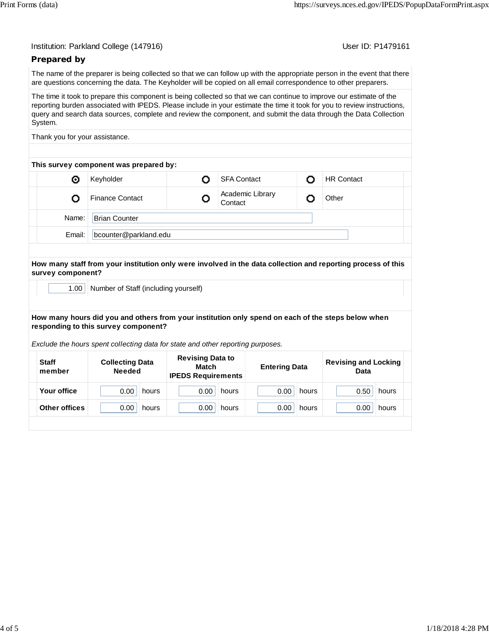User ID: P1479161

## **Prepared by**

The name of the preparer is being collected so that we can follow up with the appropriate person in the event that there are questions concerning the data. The Keyholder will be copied on all email correspondence to other preparers.

The time it took to prepare this component is being collected so that we can continue to improve our estimate of the reporting burden associated with IPEDS. Please include in your estimate the time it took for you to review instructions, query and search data sources, complete and review the component, and submit the data through the Data Collection System.

Thank you for your assistance.

| This survey component was prepared by: |                        |  |                             |  |                   |  |
|----------------------------------------|------------------------|--|-----------------------------|--|-------------------|--|
| O                                      | Keyholder              |  | <b>SFA Contact</b>          |  | <b>HR Contact</b> |  |
|                                        | <b>Finance Contact</b> |  | Academic Library<br>Contact |  | Other             |  |
| Name:                                  | <b>Brian Counter</b>   |  |                             |  |                   |  |
| Email:                                 | bcounter@parkland.edu  |  |                             |  |                   |  |
|                                        |                        |  |                             |  |                   |  |

**How many staff from your institution only were involved in the data collection and reporting process of this survey component?**

1.00 | Number of Staff (including yourself)

#### **How many hours did you and others from your institution only spend on each of the steps below when responding to this survey component?**

*Exclude the hours spent collecting data for state and other reporting purposes.*

| <b>Staff</b><br>member | <b>Collecting Data</b><br><b>Needed</b> | <b>Revising Data to</b><br>Match<br><b>IPEDS Requirements</b> | <b>Entering Data</b> | <b>Revising and Locking</b><br>Data |
|------------------------|-----------------------------------------|---------------------------------------------------------------|----------------------|-------------------------------------|
| Your office            | 0.00                                    | 0.00                                                          | 0.00                 | 0.50                                |
|                        | hours                                   | hours                                                         | hours                | hours                               |
| <b>Other offices</b>   | 0.00                                    | 0.00                                                          | 0.00                 | 0.00                                |
|                        | hours                                   | hours                                                         | hours                | hours                               |
|                        |                                         |                                                               |                      |                                     |